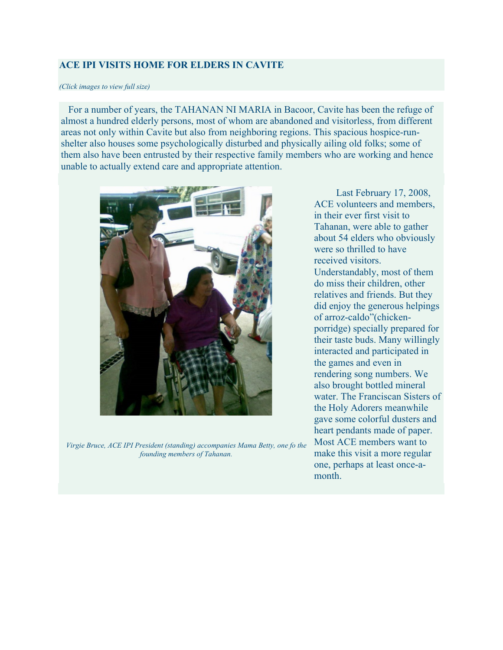## **ACE IPI VISITS HOME FOR ELDERS IN CAVITE**

## *(Click images to view full size)*

 For a number of years, the TAHANAN NI MARIA in Bacoor, Cavite has been the refuge of almost a hundred elderly persons, most of whom are abandoned and visitorless, from different areas not only within Cavite but also from neighboring regions. This spacious hospice-runshelter also houses some psychologically disturbed and physically ailing old folks; some of them also have been entrusted by their respective family members who are working and hence unable to actually extend care and appropriate attention.



*Virgie Bruce, ACE IPI President (standing) accompanies Mama Betty, one fo the founding members of Tahanan.*

Last February 17, 2008, ACE volunteers and members, in their ever first visit to Tahanan, were able to gather about 54 elders who obviously were so thrilled to have received visitors. Understandably, most of them do miss their children, other relatives and friends. But they did enjoy the generous helpings of arroz-caldo"(chickenporridge) specially prepared for their taste buds. Many willingly interacted and participated in the games and even in rendering song numbers. We also brought bottled mineral water. The Franciscan Sisters of the Holy Adorers meanwhile gave some colorful dusters and heart pendants made of paper. Most ACE members want to make this visit a more regular one, perhaps at least once-amonth.